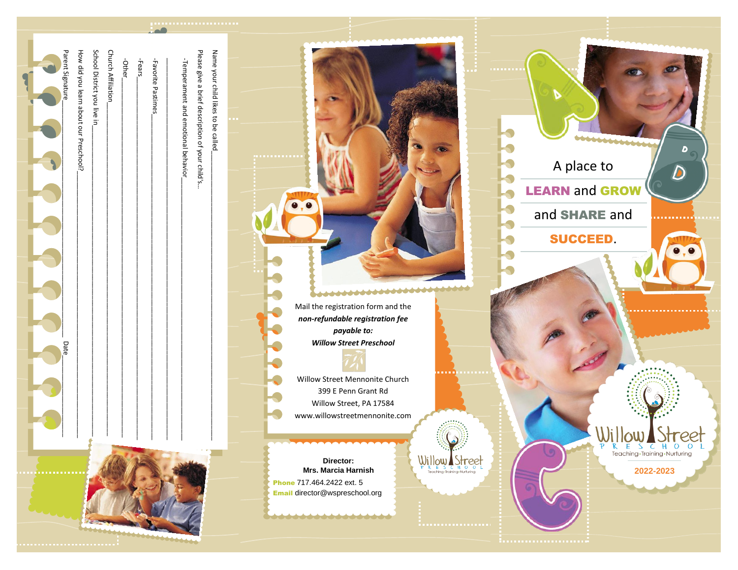| Name your child likes to be called<br>School District you live in<br>Please give a brief description of your child's<br>Parent Signature<br>How did you learn about our Preschool?<br><b>Church Affiliation</b><br>Favorite Pastimes<br>-Temperament and emotional behavior<br>-Fears<br>-Other<br>Date<br>$\mathbf{I}$<br>$\sim$ 1 $\sim$ 1 $\sim$<br><b></b><br>f iC<br> | **********<br>Mail the registration form and the<br>non-refundable registration fee<br>payable to:<br><b>Willow Street Preschool</b><br>Willow Street Mennonite Church<br>399 E Penn Grant Rd<br>Willow Street, PA 17584<br>www.willowstreetmennonite.com<br>$\underset{\mathsf{P}}{\underbrace{\bigcup_{\mathsf{R}}\bigcup_{\mathsf{E}}\bigcup_{\mathsf{E}}\bigcup_{\mathsf{S}}\mathsf{U}}\underset{\mathsf{Tr} \text{ching}\text{-}\mathsf{Nurluring}}{\underbrace{\bigcup_{\mathsf{R}}\bigcup_{\mathsf{C}}\mathsf{Q}}\mathsf{P}}$<br>Director:<br>Mrs. Marcia Harnish<br>Phone 717.464.2422 ext. 5<br>Email director@wspreschool.org<br>*************** | beecom<br>D<br>A place to<br>$\mathbf D$<br><b>LEARN and GROW</b><br>and SHARE and<br><b>SUCCEED.</b><br>Willow Street<br>Teaching - Training - Nurturing<br>2022-2023 |
|----------------------------------------------------------------------------------------------------------------------------------------------------------------------------------------------------------------------------------------------------------------------------------------------------------------------------------------------------------------------------|------------------------------------------------------------------------------------------------------------------------------------------------------------------------------------------------------------------------------------------------------------------------------------------------------------------------------------------------------------------------------------------------------------------------------------------------------------------------------------------------------------------------------------------------------------------------------------------------------------------------------------------------------------|------------------------------------------------------------------------------------------------------------------------------------------------------------------------|